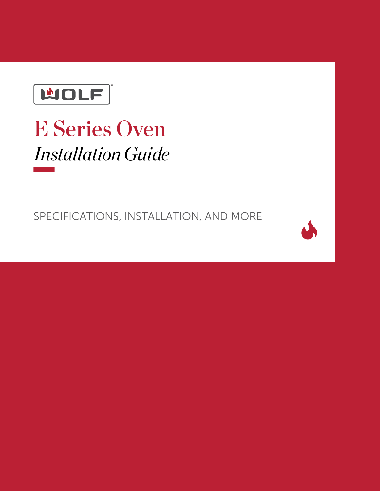

# E Series Oven *Installation Guide*

SPECIFICATIONS, INSTALLATION, AND MORE

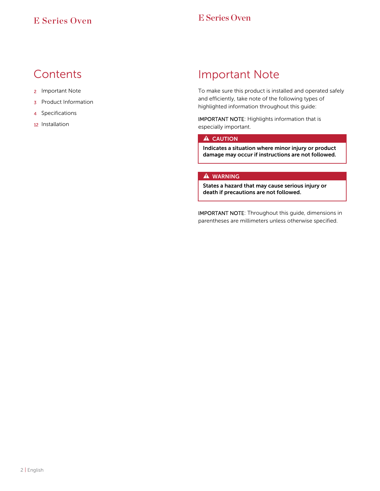#### **Contents**

- 2 Important Note
- 3 Product Information
- 4 Specifications
- 12 Installation

#### Important Note

To make sure this product is installed and operated safely and efficiently, take note of the following types of highlighted information throughout this guide:

IMPORTANT NOTE: Highlights information that is especially important.

#### **A** CAUTION

Indicates a situation where minor injury or product damage may occur if instructions are not followed.

#### **A** WARNING

States a hazard that may cause serious injury or death if precautions are not followed.

IMPORTANT NOTE: Throughout this guide, dimensions in parentheses are millimeters unless otherwise specified.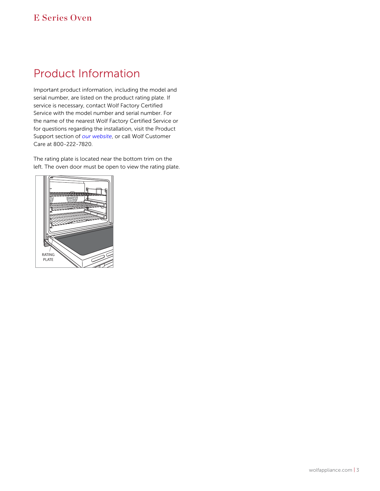#### Product Information Product Information

Important product information, including the model and serial number, are listed on the product rating plate. If service is necessary, contact Wolf Factory Certified Service with the model number and serial number. For the name of the nearest Wolf Factory Certified Service or for questions regarding the installation, visit the Product Support section of *[our website](https://www.subzero-wolf.com)*, or call Wolf Customer Care at 800-222-7820.

The rating plate is located near the bottom trim on the left. The oven door must be open to view the rating plate.

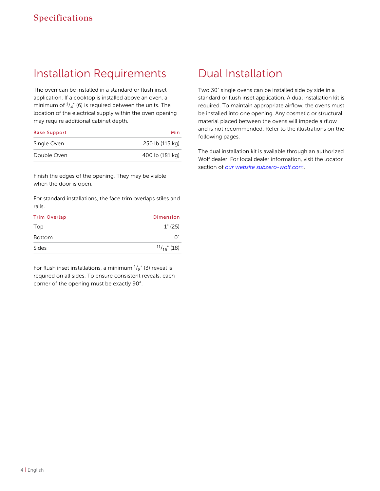### Installation Requirements

The oven can be installed in a standard or flush inset application. If a cooktop is installed above an oven, a minimum of  $\frac{1}{4}$ " (6) is required between the units. The location of the electrical supply within the oven opening may require additional cabinet depth.

| <b>Base Support</b> | Min             |
|---------------------|-----------------|
| Single Oven         | 250 lb (115 kg) |
| Double Oven         | 400 lb (181 kg) |

Finish the edges of the opening. They may be visible when the door is open.

For standard installations, the face trim overlaps stiles and rails.

| <b>Trim Overlap</b> | <b>Dimension</b>     |
|---------------------|----------------------|
| Top                 | $1^{\circ}$ (25)     |
| <b>Bottom</b>       | ∩"                   |
| <b>Sides</b>        | $\frac{11}{16}$ (18) |

For flush inset installations, a minimum  $^{1}\!/_{8}$ " (3) reveal is required on all sides. To ensure consistent reveals, each corner of the opening must be exactly 90°.

#### Dual Installation

Two 30" single ovens can be installed side by side in a standard or flush inset application. A dual installation kit is required. To maintain appropriate airflow, the ovens must be installed into one opening. Any cosmetic or structural material placed between the ovens will impede airflow and is not recommended. Refer to the illustrations on the following pages.

The dual installation kit is available through an authorized Wolf dealer. For local dealer information, visit the locator section of *[our website subzero-wolf.com](http://subzero-wolf.com/locator)*.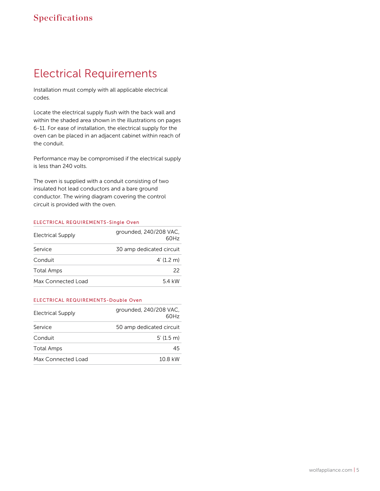### Electrical Requirements Electrical Requirements

Installation must comply with all applicable electrical codes.

Locate the electrical supply flush with the back wall and within the shaded area shown in the illustrations on pages 6-11. For ease of installation, the electrical supply for the oven can be placed in an adjacent cabinet within reach of the conduit.

Performance may be compromised if the electrical supply is less than 240 volts.

The oven is supplied with a conduit consisting of two insulated hot lead conductors and a bare ground conductor. The wiring diagram covering the control circuit is provided with the oven.

#### ELECTRICAL REQUIREMENTS-Single Oven

| <b>Electrical Supply</b> | grounded, 240/208 VAC,<br>60H <sub>z</sub> |
|--------------------------|--------------------------------------------|
| Service                  | 30 amp dedicated circuit                   |
| Conduit                  | 4'(1.2 m)                                  |
| <b>Total Amps</b>        | 22                                         |
| Max Connected Load       | 54 kW                                      |

#### ELECTRICAL REQUIREMENTS-Double Oven

| <b>Electrical Supply</b> | grounded, 240/208 VAC,<br>60Hz |
|--------------------------|--------------------------------|
| Service                  | 50 amp dedicated circuit       |
| Conduit                  | $5'(1.5)$ m                    |
| <b>Total Amps</b>        | 45                             |
| Max Connected Load       | 10 8 kW                        |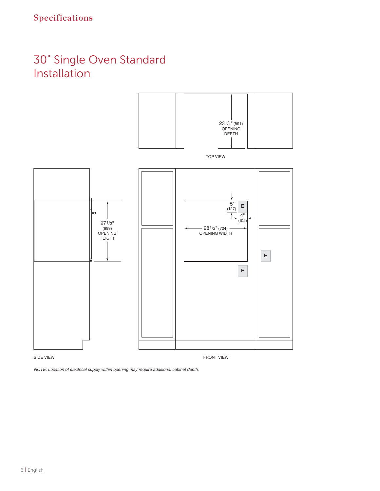### 30" Single Oven Standard Installation



*NOTE: Location of electrical supply within opening may require additional cabinet depth.*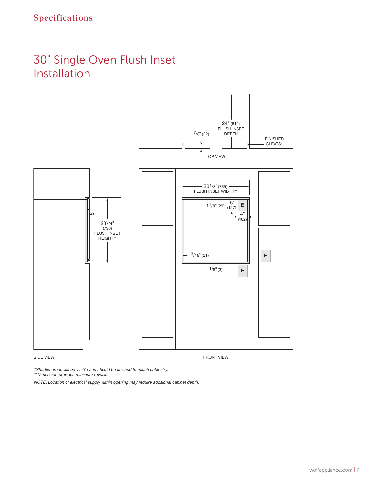### 30" Single Oven Flush Inset Installation



*\*Shaded areas will be visible and should be finished to match cabinetry.*

*\*\*Dimension provides minimum reveals.*

*NOTE: Location of electrical supply within opening may require additional cabinet depth.*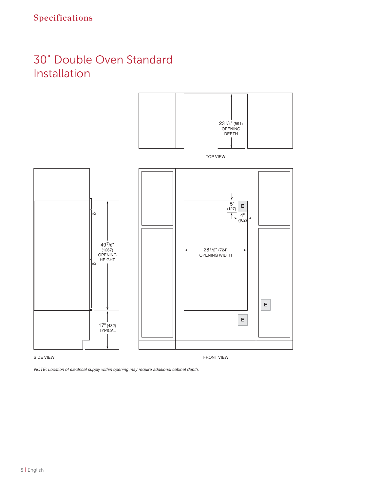### 30" Double Oven Standard Installation



*NOTE: Location of electrical supply within opening may require additional cabinet depth.*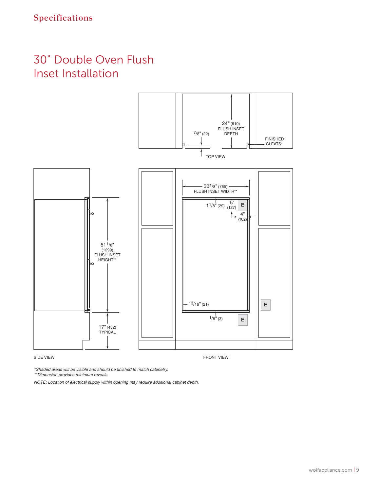### 30" Double Oven Flush Inset Installation



*\*Shaded areas will be visible and should be finished to match cabinetry.*

*\*\*Dimension provides minimum reveals.*

*NOTE: Location of electrical supply within opening may require additional cabinet depth.*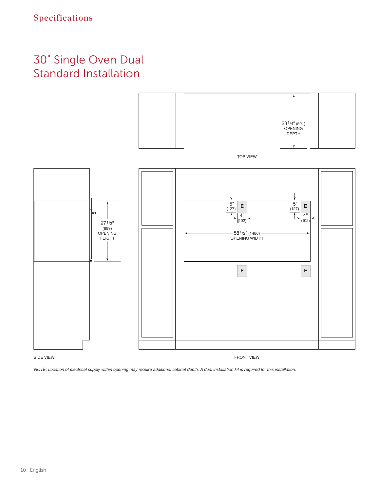### 30" Single Oven Dual Standard Installation



*NOTE: Location of electrical supply within opening may require additional cabinet depth. A dual installation kit is required for this installation.*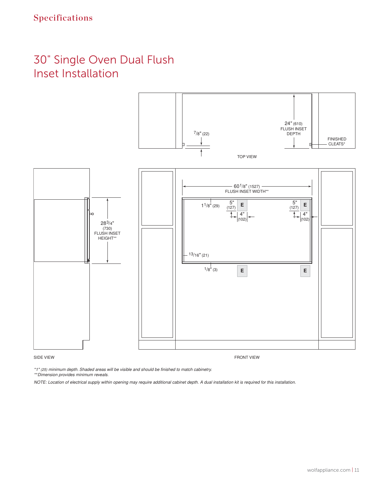### 30" Single Oven Dual Flush Inset Installation



SIDE VIEW FRONT VIEW FRONT VIEW FRONT VIEW FRONT VIEW FRONT VIEW FRONT VIEW FRONT VIEW FRONT VIEW STREET AND A

*\*1" (25) minimum depth. Shaded areas will be visible and should be finished to match cabinetry.*

*\*\*Dimension provides minimum reveals.*

*NOTE: Location of electrical supply within opening may require additional cabinet depth. A dual installation kit is required for this installation.*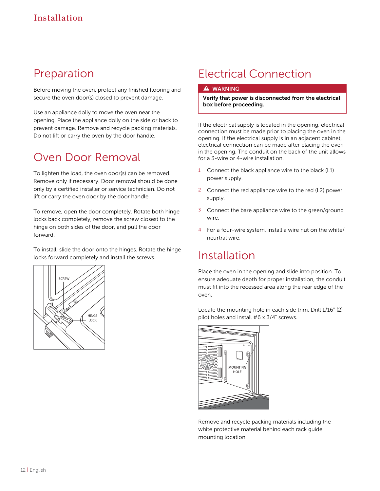#### Preparation

Before moving the oven, protect any finished flooring and secure the oven door(s) closed to prevent damage.

Use an appliance dolly to move the oven near the opening. Place the appliance dolly on the side or back to prevent damage. Remove and recycle packing materials. Do not lift or carry the oven by the door handle.

#### Oven Door Removal

To lighten the load, the oven door(s) can be removed. Remove only if necessary. Door removal should be done only by a certified installer or service technician. Do not lift or carry the oven door by the door handle.

To remove, open the door completely. Rotate both hinge locks back completely, remove the screw closest to the hinge on both sides of the door, and pull the door forward.

To install, slide the door onto the hinges. Rotate the hinge locks forward completely and install the screws.



## Electrical Connection

#### **A** WARNING

Verify that power is disconnected from the electrical box before proceeding.

If the electrical supply is located in the opening, electrical connection must be made prior to placing the oven in the opening. If the electrical supply is in an adjacent cabinet, electrical connection can be made after placing the oven in the opening. The conduit on the back of the unit allows for a 3-wire or 4-wire installation.

- 1 Connect the black appliance wire to the black (L1) power supply.
- 2 Connect the red appliance wire to the red (L2) power supply.
- 3 Connect the bare appliance wire to the green/ground wire.
- 4 For a four-wire system, install a wire nut on the white/ neurtral wire.

#### Installation

Place the oven in the opening and slide into position. To ensure adequate depth for proper installation, the conduit must fit into the recessed area along the rear edge of the oven.

Locate the mounting hole in each side trim. Drill 1/16" (2) pilot holes and install #6 x 3/4" screws.



Remove and recycle packing materials including the white protective material behind each rack guide mounting location.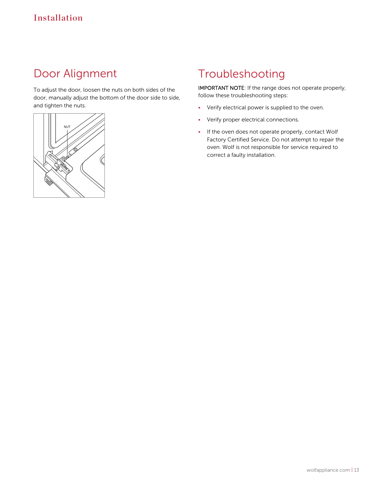### Door Alignment Door Alignment

To adjust the door, loosen the nuts on both sides of the door, manually adjust the bottom of the door side to side, and tighten the nuts.



### Troubleshooting

IMPORTANT NOTE: If the range does not operate properly, follow these troubleshooting steps:

- Verify electrical power is supplied to the oven.
- Verify proper electrical connections.
- If the oven does not operate properly, contact Wolf Factory Certified Service. Do not attempt to repair the oven. Wolf is not responsible for service required to correct a faulty installation.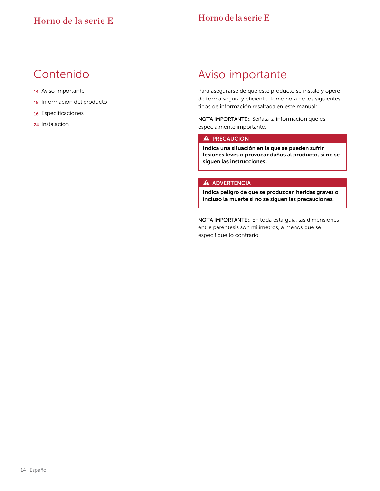#### Contenido

- 14 Aviso importante
- 15 Información del producto
- 16 Especificaciones
- 24 Instalación

#### Aviso importante

Para asegurarse de que este producto se instale y opere de forma segura y eficiente, tome nota de los siguientes tipos de información resaltada en este manual:

NOTA IMPORTANTE:: Señala la información que es especialmente importante.

#### A PRECAUCIÓN

Indica una situación en la que se pueden sufrir lesiones leves o provocar daños al producto, si no se siguen las instrucciones.

#### **A** ADVERTENCIA

Indica peligro de que se produzcan heridas graves o incluso la muerte si no se siguen las precauciones.

NOTA IMPORTANTE:: En toda esta guía, las dimensiones entre paréntesis son milímetros, a menos que se especifique lo contrario.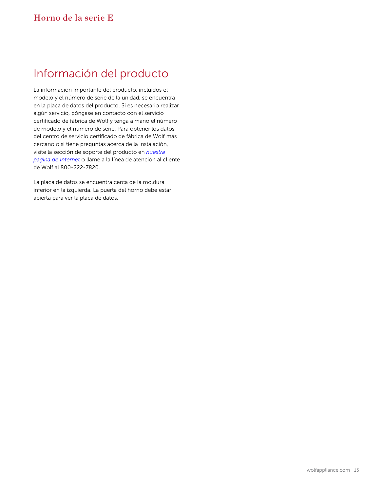#### Información del producto Información del producto

La información importante del producto, incluidos el modelo y el número de serie de la unidad, se encuentra en la placa de datos del producto. Si es necesario realizar algún servicio, póngase en contacto con el servicio certificado de fábrica de Wolf y tenga a mano el número de modelo y el número de serie. Para obtener los datos del centro de servicio certificado de fábrica de Wolf más cercano o si tiene preguntas acerca de la instalación, visite la sección de soporte del producto en *[nuestra](https://www.subzero-wolf.com) [página de Internet](https://www.subzero-wolf.com)* o llame a la línea de atención al cliente de Wolf al 800-222-7820.

La placa de datos se encuentra cerca de la moldura inferior en la izquierda. La puerta del horno debe estar abierta para ver la placa de datos.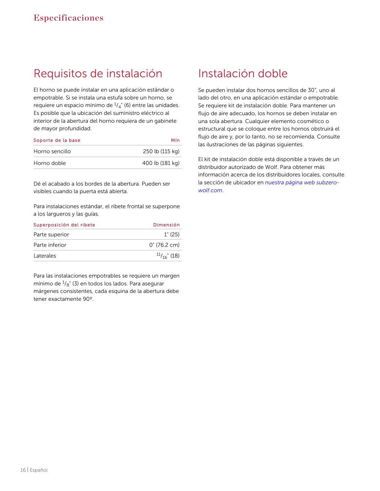#### Requisitos de instalación de instalación

El horno se puede instalar en una aplicación estándar o empotrable. Si se instala una estufa sobre un horno, se requiere un espacio mínimo de  $^{1\!}/_{4}$ " (6) entre las unidades. Es posible que la ubicación del suministro eléctrico al interior de la abertura del horno requiera de un gabinete de mayor profundidad.

| Soporte de la base | Mín             |
|--------------------|-----------------|
| Horno sencillo     | 250 lb (115 kg) |
| Horno doble        | 400 lb (181 kg) |

Dé el acabado a los bordes de la abertura. Pueden ser visibles cuando la puerta está abierta.

Para instalaciones estándar, el ribete frontal se superpone a los largueros y las guías.

| Superposición del ribete | Dimensión             |
|--------------------------|-----------------------|
| Parte superior           | $1^{\circ}$ (25)      |
| Parte inferior           | $0^{\circ}$ (76.2 cm) |
| Laterales                | $\frac{11}{16}$ (18)  |

Para las instalaciones empotrables se requiere un margen mínimo de  $^{1\!\!}/_\mathrm{8}$ " (3) en todos los lados. Para asegurar márgenes consistentes, cada esquina de la abertura debe tener exactamente 90º.

#### Instalación doble

Se pueden instalar dos hornos sencillos de 30", uno al lado del otro, en una aplicación estándar o empotrable. Se requiere kit de instalación doble. Para mantener un flujo de aire adecuado, los hornos se deben instalar en una sola abertura. Cualquier elemento cosmético o estructural que se coloque entre los hornos obstruirá el flujo de aire y, por lo tanto, no se recomienda. Consulte las ilustraciones de las páginas siguientes.

El kit de instalación doble está disponible a través de un distribuidor autorizado de Wolf. Para obtener más información acerca de los distribuidores locales, consulte la sección de ubicador en *[nuestra página web subzero](http://subzero-wolf.com/locator)[wolf.com](http://subzero-wolf.com/locator)*.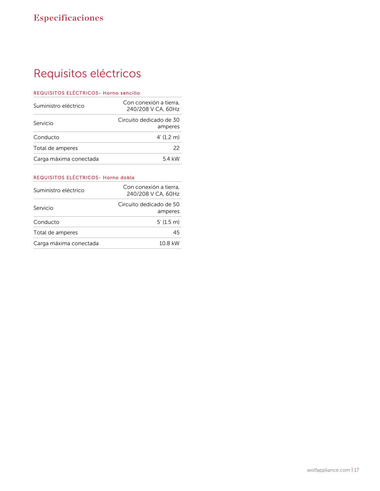### Requisitos eléctricos Requisitos eléctricos

#### REQUISITOS ELÉCTRICOS- Horno sencillo

| Suministro eléctrico   | Con conexión a tierra.<br>240/208 V CA, 60Hz |
|------------------------|----------------------------------------------|
| Servicio               | Circuito dedicado de 30<br>amperes           |
| Conducto               | 4'(1.2 m)                                    |
| Total de amperes       | 22                                           |
| Carga máxima conectada | 54 kW                                        |

#### REQUISITOS ELÉCTRICOS- Horno doble

| Suministro eléctrico   | Con conexión a tierra,<br>240/208 V CA, 60Hz |
|------------------------|----------------------------------------------|
| Servicio               | Circuito dedicado de 50<br>amperes           |
| Conducto               | 5'(1.5 m)                                    |
| Total de amperes       | 45                                           |
| Carga máxima conectada | 10.8 kW                                      |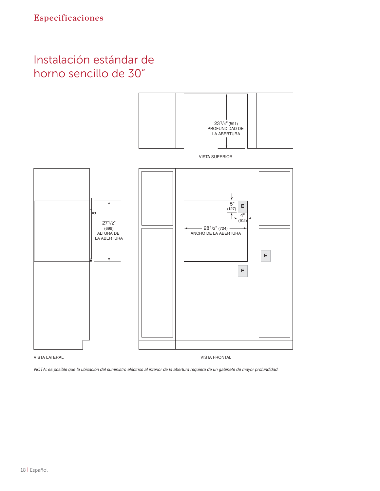### Instalación estándar de horno sencillo de 30"

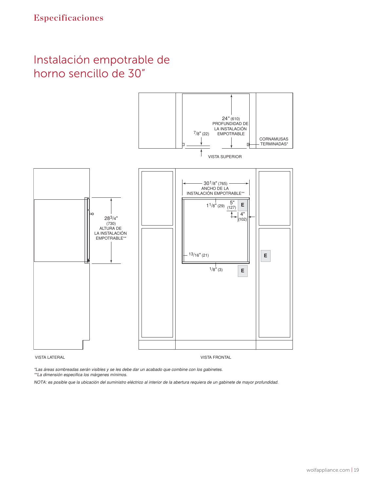#### Instalación empotrable de horno sencillo de 30"



\*Las áreas sombreadas serán visibles y se les debe dar un acabado que combine con los gabinetes.

\*\*La dimensión especifica los márgenes mínimos.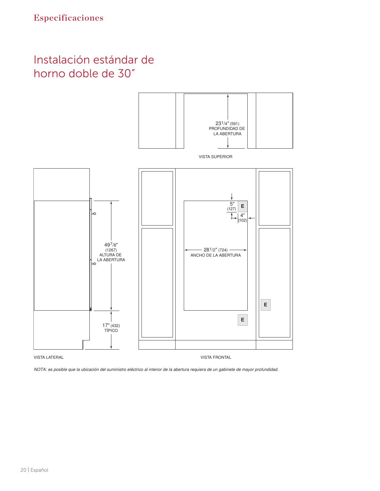#### Instalación estándar de horno doble de 30"

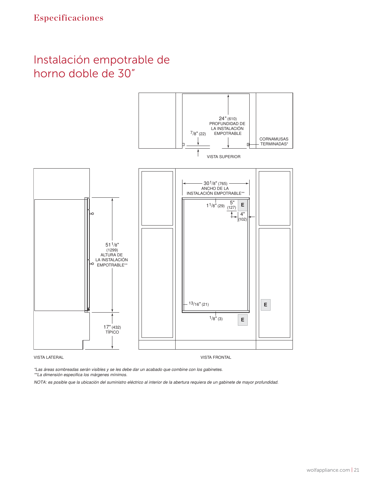#### Instalación empotrable de horno doble de 30"



\*Las áreas sombreadas serán visibles y se les debe dar un acabado que combine con los gabinetes.

\*\*La dimensión especifica los márgenes mínimos.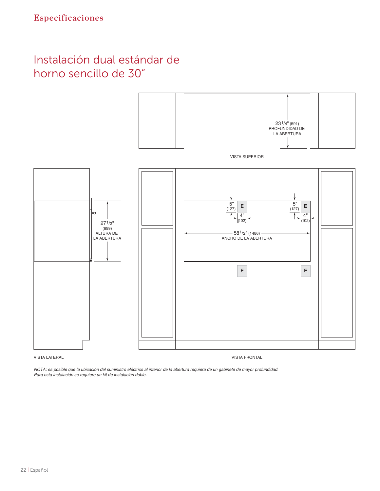#### Instalación dual estándar de horno sencillo de 30"



VISTA LATERAL VISTA FRONTAL

NOTA: es posible que la ubicación del suministro eléctrico al interior de la abertura requiera de un gabinete de mayor profundidad. Para esta instalación se requiere un kit de instalación doble.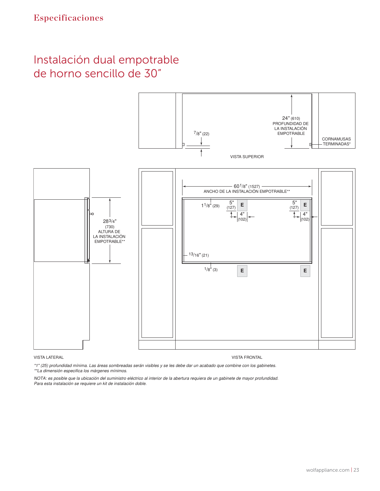#### Instalación dual empotrable de horno sencillo de 30"



#### VISTA LATERAL VISTA FRONTAL

\*1" (25) profundidad mínima. Las áreas sombreadas serán visibles y se les debe dar un acabado que combine con los gabinetes. \*\*La dimensión especifica los márgenes mínimos.

NOTA: es posible que la ubicación del suministro eléctrico al interior de la abertura requiera de un gabinete de mayor profundidad. Para esta instalación se requiere un kit de instalación doble.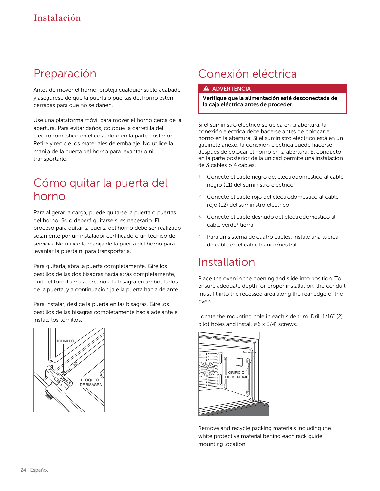### Preparación

Antes de mover el horno, proteja cualquier suelo acabado y asegúrese de que la puerta o puertas del horno estén cerradas para que no se dañen.

Use una plataforma móvil para mover el horno cerca de la abertura. Para evitar daños, coloque la carretilla del electrodoméstico en el costado o en la parte posterior. Retire y recicle los materiales de embalaje. No utilice la manija de la puerta del horno para levantarlo ni transportarlo.

#### Cómo quitar la puerta del horno

Para aligerar la carga, puede quitarse la puerta o puertas del horno. Solo deberá quitarse si es necesario. El proceso para quitar la puerta del horno debe ser realizado solamente por un instalador certificado o un técnico de servicio. No utilice la manija de la puerta del horno para levantar la puerta ni para transportarla.

Para quitarla, abra la puerta completamente. Gire los pestillos de las dos bisagras hacia atrás completamente, quite el tornillo más cercano a la bisagra en ambos lados de la puerta, y a continuación jale la puerta hacia delante.

Para instalar, deslice la puerta en las bisagras. Gire los pestillos de las bisagras completamente hacia adelante e instale los tornillos.



### Conexión eléctrica

#### **A** ADVERTENCIA

Verifique que la alimentación esté desconectada de la caja eléctrica antes de proceder.

Si el suministro eléctrico se ubica en la abertura, la conexión eléctrica debe hacerse antes de colocar el horno en la abertura. Si el suministro eléctrico está en un gabinete anexo, la conexión eléctrica puede hacerse después de colocar el horno en la abertura. El conducto en la parte posterior de la unidad permite una instalación de 3 cables o 4 cables.

- 1 Conecte el cable negro del electrodoméstico al cable negro (L1) del suministro eléctrico.
- 2 Conecte el cable rojo del electrodoméstico al cable rojo (L2) del suministro eléctrico.
- 3 Conecte el cable desnudo del electrodoméstico al cable verde/ tierra.
- 4 Para un sistema de cuatro cables, instale una tuerca de cable en el cable blanco/neutral.

#### Installation

Place the oven in the opening and slide into position. To ensure adequate depth for proper installation, the conduit must fit into the recessed area along the rear edge of the oven.

Locate the mounting hole in each side trim. Drill 1/16" (2)

pilot holes and install #6 x 3/4" screws.



Remove and recycle packing materials including the white protective material behind each rack guide mounting location.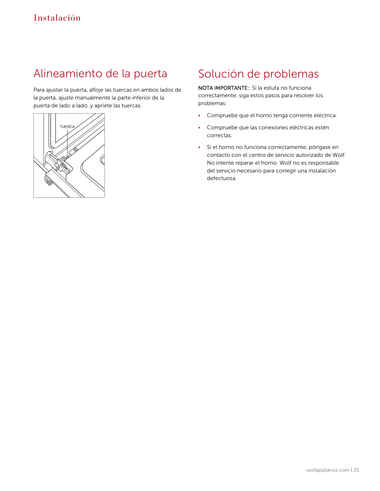#### Alineamiento de la puerta Alineamiento de la puerta

Para ajustar la puerta, afloje las tuercas en ambos lados de la puerta, ajuste manualmente la parte inferior de la puerta de lado a lado, y apriete las tuercas.



### Solución de problemas

NOTA IMPORTANTE:: Si la estufa no funciona correctamente, siga estos pasos para resolver los problemas:

- Compruebe que el horno tenga corriente eléctrica.
- Compruebe que las conexiones eléctricas estén correctas.
- Si el horno no funciona correctamente, póngase en contacto con el centro de servicio autorizado de Wolf. No intente reparar el horno. Wolf no es responsable del servicio necesario para corregir una instalación defectuosa.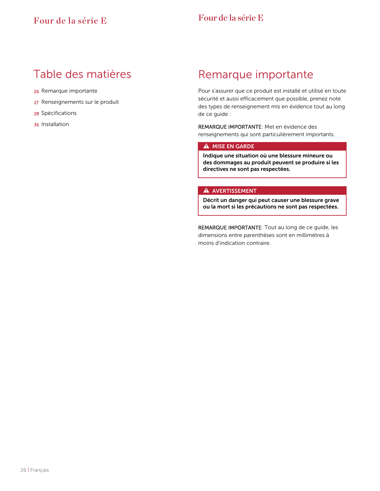#### Table des matières

- 26 Remarque importante
- 27 Renseignements sur le produit
- 28 Spécifications
- 36 Installation

### Remarque importante

Pour s'assurer que ce produit est installé et utilisé en toute sécurité et aussi efficacement que possible, prenez note des types de renseignement mis en évidence tout au long de ce guide :

REMARQUE IMPORTANTE: Met en évidence des renseignements qui sont particulièrement importants.

#### A MISE EN GARDE

Indique une situation où une blessure mineure ou des dommages au produit peuvent se produire si les directives ne sont pas respectées.

#### **A** AVERTISSEMENT

Décrit un danger qui peut causer une blessure grave ou la mort si les précautions ne sont pas respectées.

REMARQUE IMPORTANTE: Tout au long de ce guide, les dimensions entre parenthèses sont en millimètres à moins d'indication contraire.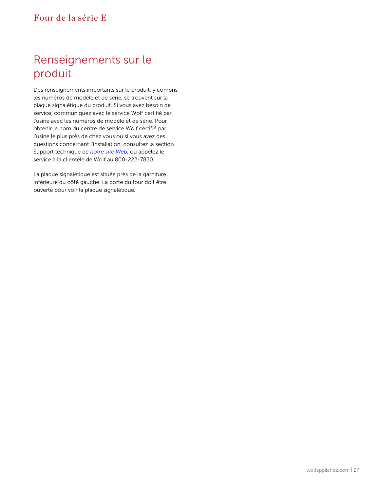### Renseignements sur le produit

Des renseignements importants sur le produit, y compris les numéros de modèle et de série, se trouvent sur la plaque signalétique du produit. Si vous avez besoin de service, communiquez avec le service Wolf certifié par l'usine avec les numéros de modèle et de série. Pour obtenir le nom du centre de service Wolf certifié par l'usine le plus près de chez vous ou si vous avez des questions concernant l'installation, consultez la section Support technique de *[notre site Web](https://www.subzero-wolf.com)*, ou appelez le service à la clientèle de Wolf au 800-222-7820.

La plaque signalétique est située près de la garniture inférieure du côté gauche. La porte du four doit être ouverte pour voir la plaque signalétique.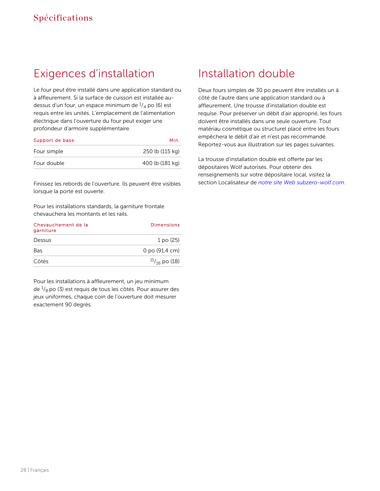### Exigences d'installation Exigences d'installation

Le four peut être installé dans une application standard ou à affleurement. Si la surface de cuisson est installée audessus d'un four, un espace minimum de  $^{1}\!/_{4}$  po (6) est requis entre les unités. L'emplacement de l'alimentation électrique dans l'ouverture du four peut exiger une profondeur d'armoire supplémentaire.

| Support de base | Min.            |
|-----------------|-----------------|
| Four simple     | 250 lb (115 kg) |
| Four double     | 400 lb (181 kg) |

Finissez les rebords de l'ouverture. Ils peuvent être visibles lorsque la porte est ouverte.

Pour les installations standards, la garniture frontale chevauchera les montants et les rails.

| Chevauchement de la<br>garniture | <b>Dimensions</b>          |
|----------------------------------|----------------------------|
| Dessus                           | 1 po (25)                  |
| Bas                              | $0$ po $(91,4 \text{ cm})$ |
| Côtés                            | $\frac{11}{16}$ po (18)    |

Pour les installations à affleurement, un jeu minimum de  $^{1}\!/_{8}$  po (3) est requis de tous les côtés. Pour assurer des jeux uniformes, chaque coin de l'ouverture doit mesurer exactement 90 degrés.

#### Installation double

Deux fours simples de 30 po peuvent être installés un à côté de l'autre dans une application standard ou à affleurement. Une trousse d'installation double est requise. Pour préserver un débit d'air approprié, les fours doivent être installés dans une seule ouverture. Tout matériau cosmétique ou structurel placé entre les fours empêchera le débit d'air et n'est pas recommandé. Reportez-vous aux illustration sur les pages suivantes.

La trousse d'installation double est offerte par les dépositaires Wolf autorisés. Pour obtenir des renseignements sur votre dépositaire local, visitez la section Localisateur de *[notre site Web subzero-wolf.com](http://subzero-wolf.com/locator)*.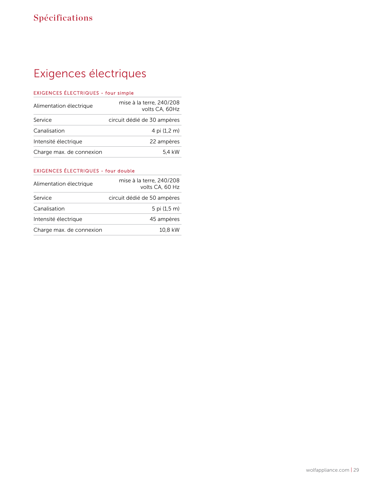### Exigences électriques Exigences électriques

#### EXIGENCES ÉLECTRIQUES - four simple

| Alimentation électrique  | mise à la terre, 240/208<br>volts CA, 60Hz |
|--------------------------|--------------------------------------------|
| Service                  | circuit dédié de 30 ampères                |
| Canalisation             | 4 pi (1,2 m)                               |
| Intensité électrique     | 22 ampères                                 |
| Charge max. de connexion | 5.4 kW                                     |

#### EXIGENCES ÉLECTRIQUES - four double

| Alimentation électrique  | mise à la terre, 240/208<br>volts CA, 60 Hz |
|--------------------------|---------------------------------------------|
| Service                  | circuit dédié de 50 ampères                 |
| Canalisation             | 5 pi $(1,5, m)$                             |
| Intensité électrique     | 45 ampères                                  |
| Charge max. de connexion | 10.8 kW                                     |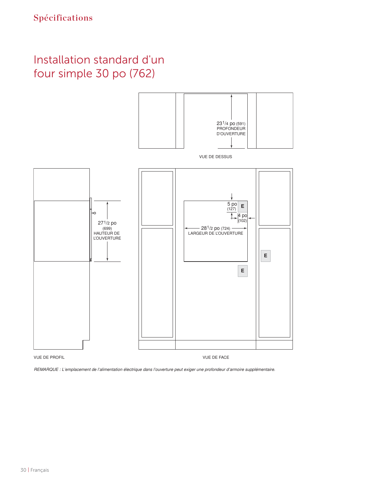### Installation standard d'un four simple 30 po (762)

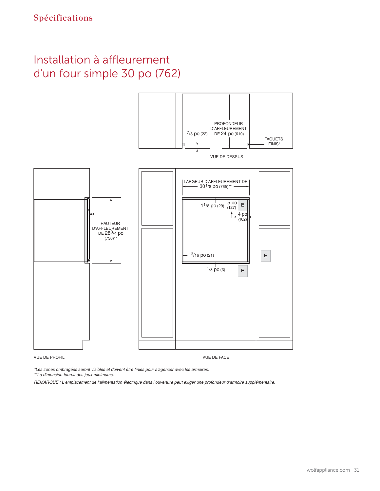#### Installation à affleurement d'un four simple 30 po (762)



\*Les zones ombragées seront visibles et doivent être finies pour s'agencer avec les armoires.

\*\*La dimension fournit des jeux minimums.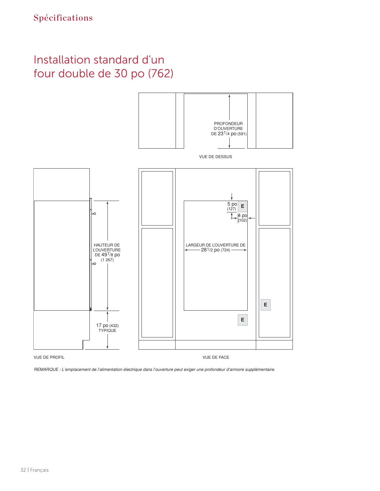### Installation standard d'un four double de 30 po (762)

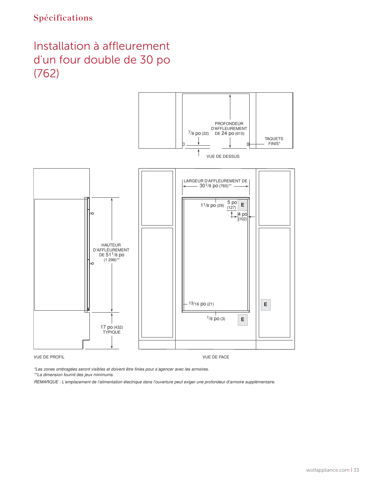#### Installation à affleurement Installation à affleurement d'un four double de 30 po (762)



\*Les zones ombragées seront visibles et doivent être finies pour s'agencer avec les armoires.

\*\*La dimension fournit des jeux minimums.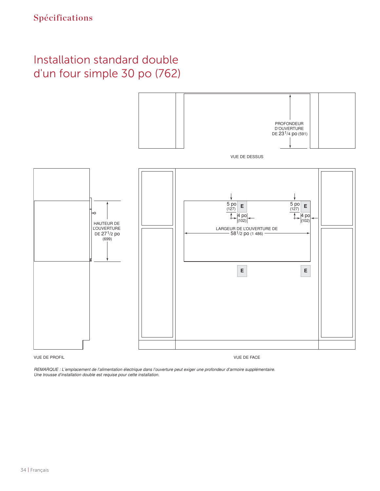### Installation standard double d'un four simple 30 po (762)



VUE DE PROFIL VUE DE FACE

REMARQUE : L'emplacement de l'alimentation électrique dans l'ouverture peut exiger une profondeur d'armoire supplémentaire. Une trousse d'installation double est requise pour cette installation.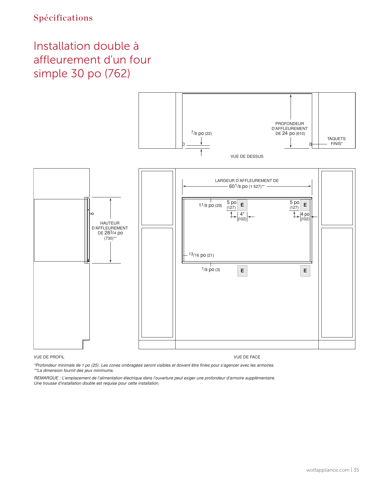#### Installation double à Installation double à affleurement d'un four simple 30 po (762) po (762)



#### VUE DE PROFIL VUE DE FACE

\*Profondeur minimale de 1 po (25). Les zones ombragées seront visibles et doivent être finies pour s'agencer avec les armoires. \*\*La dimension fournit des jeux minimums.

REMARQUE : L'emplacement de l'alimentation électrique dans l'ouverture peut exiger une profondeur d'armoire supplémentaire. Une trousse d'installation double est requise pour cette installation.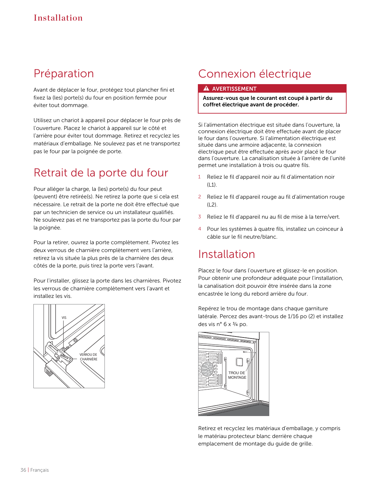#### Préparation

Avant de déplacer le four, protégez tout plancher fini et fixez la (les) porte(s) du four en position fermée pour éviter tout dommage.

Utilisez un chariot à appareil pour déplacer le four près de l'ouverture. Placez le chariot à appareil sur le côté et l'arrière pour éviter tout dommage. Retirez et recyclez les matériaux d'emballage. Ne soulevez pas et ne transportez pas le four par la poignée de porte.

### Retrait de la porte du four

Pour alléger la charge, la (les) porte(s) du four peut (peuvent) être retirée(s). Ne retirez la porte que si cela est nécessaire. Le retrait de la porte ne doit être effectué que par un technicien de service ou un installateur qualifiés. Ne soulevez pas et ne transportez pas la porte du four par la poignée.

Pour la retirer, ouvrez la porte complètement. Pivotez les deux verrous de charnière complètement vers l'arrière, retirez la vis située la plus près de la charnière des deux côtés de la porte, puis tirez la porte vers l'avant.

Pour l'installer, glissez la porte dans les charnières. Pivotez les verrous de charnière complètement vers l'avant et installez les vis.



### Connexion électrique

#### **A** AVERTISSEMENT

Assurez-vous que le courant est coupé à partir du coffret électrique avant de procéder.

Si l'alimentation électrique est située dans l'ouverture, la connexion électrique doit être effectuée avant de placer le four dans l'ouverture. Si l'alimentation électrique est située dans une armoire adjacente, la connexion électrique peut être effectuée après avoir placé le four dans l'ouverture. La canalisation située à l'arrière de l'unité permet une installation à trois ou quatre fils.

- 1 Reliez le fil d'appareil noir au fil d'alimentation noir  $(L1)$ .
- 2 Reliez le fil d'appareil rouge au fil d'alimentation rouge  $(L2)$ .
- 3 Reliez le fil d'appareil nu au fil de mise à la terre/vert.
- 4 Pour les systèmes à quatre fils, installez un coinceur à câble sur le fil neutre/blanc.

#### Installation

Placez le four dans l'ouverture et glissez-le en position. Pour obtenir une profondeur adéquate pour l'installation, la canalisation doit pouvoir être insérée dans la zone encastrée le long du rebord arrière du four.

Repérez le trou de montage dans chaque garniture latérale. Percez des avant-trous de 1/16 po (2) et installez des vis n° 6 x  $\frac{3}{4}$  po.



Retirez et recyclez les matériaux d'emballage, y compris le matériau protecteur blanc derrière chaque emplacement de montage du guide de grille.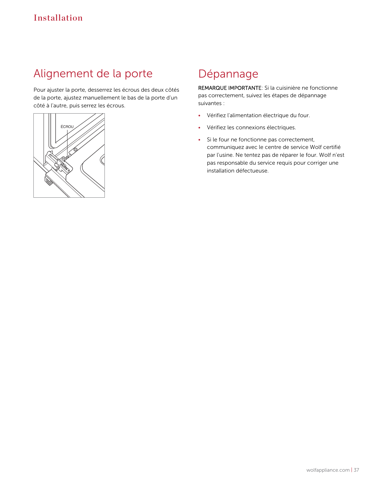#### Alignement de la porte Alignement de la porte

Pour ajuster la porte, desserrez les écrous des deux côtés de la porte, ajustez manuellement le bas de la porte d'un côté à l'autre, puis serrez les écrous.



#### Dépannage

REMARQUE IMPORTANTE: Si la cuisinière ne fonctionne pas correctement, suivez les étapes de dépannage suivantes :

- Vérifiez l'alimentation électrique du four.
- Vérifiez les connexions électriques.
- Si le four ne fonctionne pas correctement, communiquez avec le centre de service Wolf certifié par l'usine. Ne tentez pas de réparer le four. Wolf n'est pas responsable du service requis pour corriger une installation défectueuse.